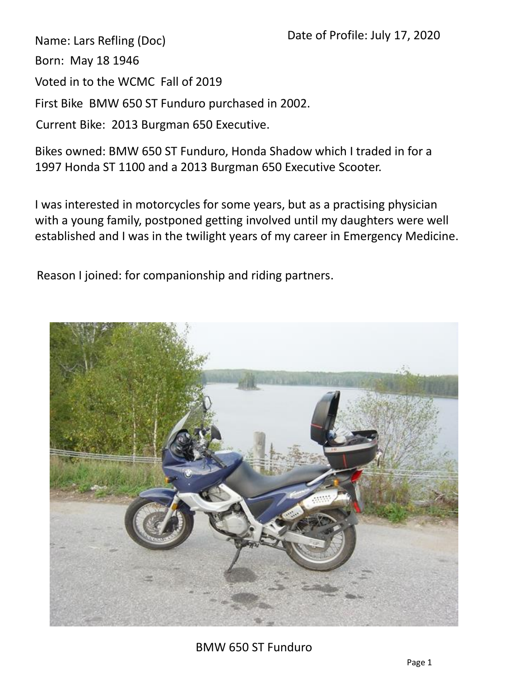Name: Lars Refling (Doc)

Born: May 18 1946

Voted in to the WCMC Fall of 2019

First Bike BMW 650 ST Funduro purchased in 2002.

Current Bike: 2013 Burgman 650 Executive.

Bikes owned: BMW 650 ST Funduro, Honda Shadow which I traded in for a 1997 Honda ST 1100 and a 2013 Burgman 650 Executive Scooter.

I was interested in motorcycles for some years, but as a practising physician with a young family, postponed getting involved until my daughters were well established and I was in the twilight years of my career in Emergency Medicine.

Reason I joined: for companionship and riding partners.



BMW 650 ST Funduro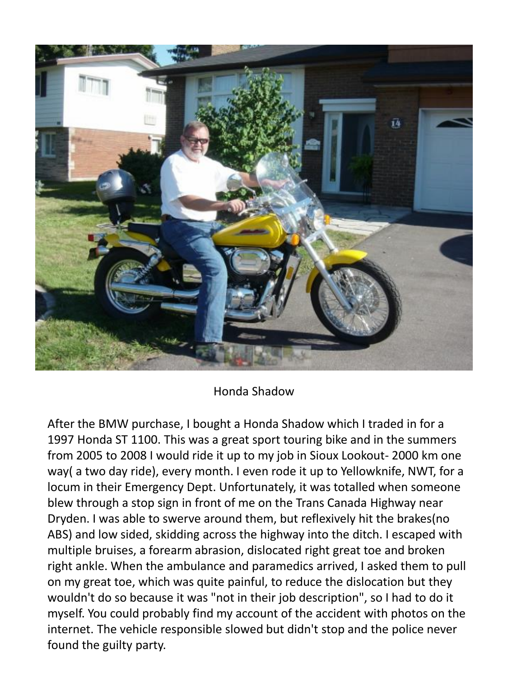

## Honda Shadow

After the BMW purchase, I bought a Honda Shadow which I traded in for a 1997 Honda ST 1100. This was a great sport touring bike and in the summers from 2005 to 2008 I would ride it up to my job in Sioux Lookout- 2000 km one way( a two day ride), every month. I even rode it up to Yellowknife, NWT, for a locum in their Emergency Dept. Unfortunately, it was totalled when someone blew through a stop sign in front of me on the Trans Canada Highway near Dryden. I was able to swerve around them, but reflexively hit the brakes(no ABS) and low sided, skidding across the highway into the ditch. I escaped with multiple bruises, a forearm abrasion, dislocated right great toe and broken right ankle. When the ambulance and paramedics arrived, I asked them to pull on my great toe, which was quite painful, to reduce the dislocation but they wouldn't do so because it was "not in their job description", so I had to do it myself. You could probably find my account of the accident with photos on the internet. The vehicle responsible slowed but didn't stop and the police never found the guilty party.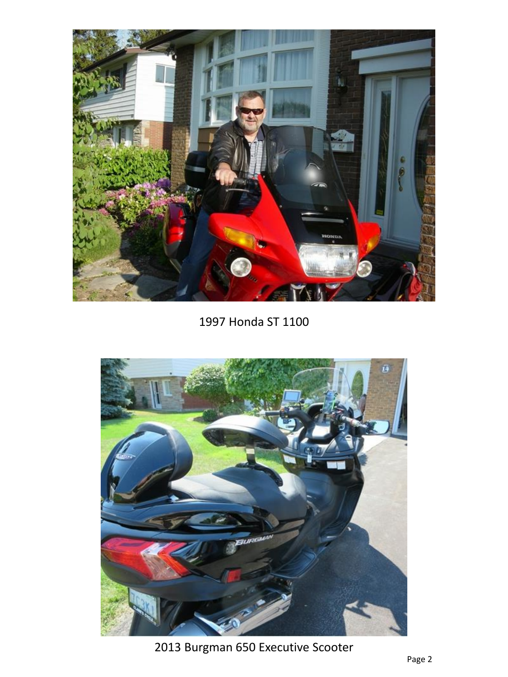

1997 Honda ST 1100



2013 Burgman 650 Executive Scooter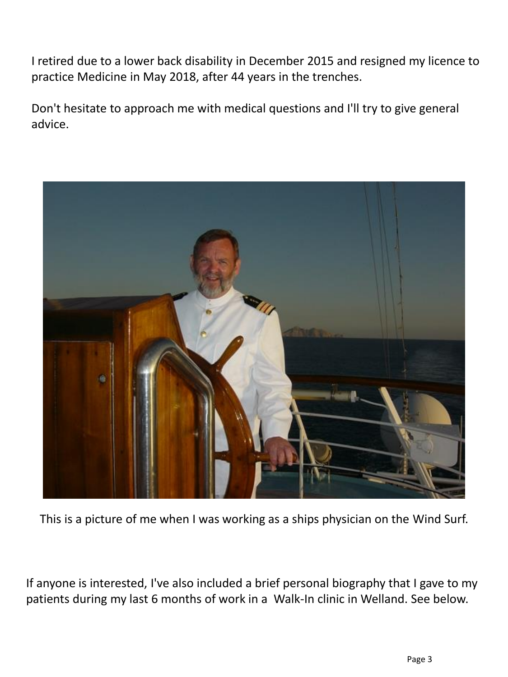I retired due to a lower back disability in December 2015 and resigned my licence to practice Medicine in May 2018, after 44 years in the trenches.

Don't hesitate to approach me with medical questions and I'll try to give general advice.



This is a picture of me when I was working as a ships physician on the Wind Surf.

If anyone is interested, I've also included a brief personal biography that I gave to my patients during my last 6 months of work in a Walk-In clinic in Welland. See below.